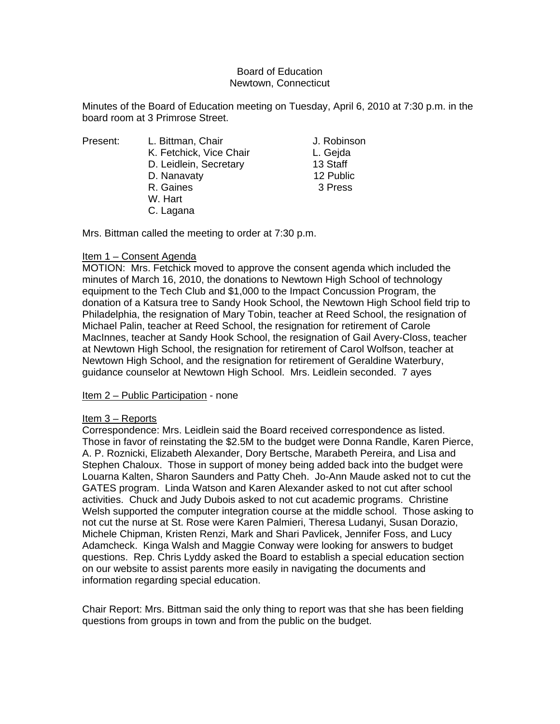## Board of Education Newtown, Connecticut

Minutes of the Board of Education meeting on Tuesday, April 6, 2010 at 7:30 p.m. in the board room at 3 Primrose Street.

| Present: |  |
|----------|--|
|          |  |

L. Bittman, Chair **J. Robinson** K. Fetchick, Vice Chair **L. Gejda** D. Leidlein, Secretary 13 Staff D. Nanavaty 12 Public R. Gaines 3 Press W. Hart C. Lagana

Mrs. Bittman called the meeting to order at 7:30 p.m.

# Item 1 – Consent Agenda

MOTION: Mrs. Fetchick moved to approve the consent agenda which included the minutes of March 16, 2010, the donations to Newtown High School of technology equipment to the Tech Club and \$1,000 to the Impact Concussion Program, the donation of a Katsura tree to Sandy Hook School, the Newtown High School field trip to Philadelphia, the resignation of Mary Tobin, teacher at Reed School, the resignation of Michael Palin, teacher at Reed School, the resignation for retirement of Carole MacInnes, teacher at Sandy Hook School, the resignation of Gail Avery-Closs, teacher at Newtown High School, the resignation for retirement of Carol Wolfson, teacher at Newtown High School, and the resignation for retirement of Geraldine Waterbury, guidance counselor at Newtown High School. Mrs. Leidlein seconded. 7 ayes

Item 2 – Public Participation - none

# Item 3 – Reports

Correspondence: Mrs. Leidlein said the Board received correspondence as listed. Those in favor of reinstating the \$2.5M to the budget were Donna Randle, Karen Pierce, A. P. Roznicki, Elizabeth Alexander, Dory Bertsche, Marabeth Pereira, and Lisa and Stephen Chaloux. Those in support of money being added back into the budget were Louarna Kalten, Sharon Saunders and Patty Cheh. Jo-Ann Maude asked not to cut the GATES program. Linda Watson and Karen Alexander asked to not cut after school activities. Chuck and Judy Dubois asked to not cut academic programs. Christine Welsh supported the computer integration course at the middle school. Those asking to not cut the nurse at St. Rose were Karen Palmieri, Theresa Ludanyi, Susan Dorazio, Michele Chipman, Kristen Renzi, Mark and Shari Pavlicek, Jennifer Foss, and Lucy Adamcheck. Kinga Walsh and Maggie Conway were looking for answers to budget questions. Rep. Chris Lyddy asked the Board to establish a special education section on our website to assist parents more easily in navigating the documents and information regarding special education.

Chair Report: Mrs. Bittman said the only thing to report was that she has been fielding questions from groups in town and from the public on the budget.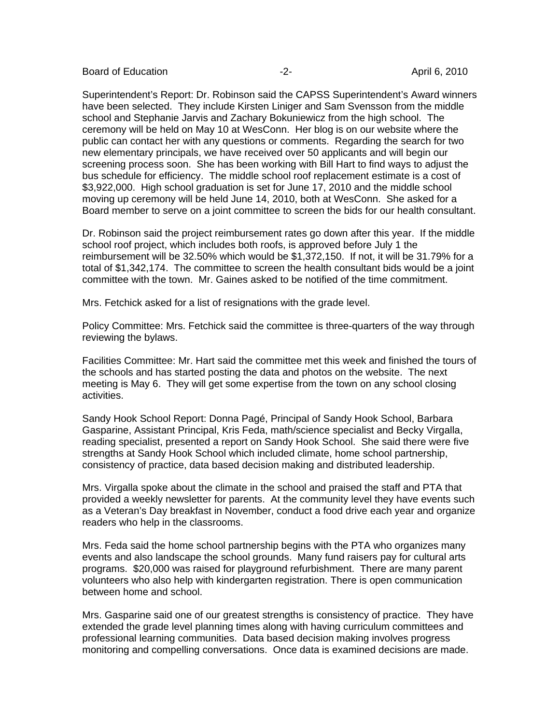Board of Education **-2-** April 6, 2010

Superintendent's Report: Dr. Robinson said the CAPSS Superintendent's Award winners have been selected. They include Kirsten Liniger and Sam Svensson from the middle school and Stephanie Jarvis and Zachary Bokuniewicz from the high school. The ceremony will be held on May 10 at WesConn. Her blog is on our website where the public can contact her with any questions or comments. Regarding the search for two new elementary principals, we have received over 50 applicants and will begin our screening process soon. She has been working with Bill Hart to find ways to adjust the bus schedule for efficiency. The middle school roof replacement estimate is a cost of \$3,922,000. High school graduation is set for June 17, 2010 and the middle school moving up ceremony will be held June 14, 2010, both at WesConn. She asked for a Board member to serve on a joint committee to screen the bids for our health consultant.

Dr. Robinson said the project reimbursement rates go down after this year. If the middle school roof project, which includes both roofs, is approved before July 1 the reimbursement will be 32.50% which would be \$1,372,150. If not, it will be 31.79% for a total of \$1,342,174. The committee to screen the health consultant bids would be a joint committee with the town. Mr. Gaines asked to be notified of the time commitment.

Mrs. Fetchick asked for a list of resignations with the grade level.

Policy Committee: Mrs. Fetchick said the committee is three-quarters of the way through reviewing the bylaws.

Facilities Committee: Mr. Hart said the committee met this week and finished the tours of the schools and has started posting the data and photos on the website. The next meeting is May 6. They will get some expertise from the town on any school closing activities.

Sandy Hook School Report: Donna Pagé, Principal of Sandy Hook School, Barbara Gasparine, Assistant Principal, Kris Feda, math/science specialist and Becky Virgalla, reading specialist, presented a report on Sandy Hook School. She said there were five strengths at Sandy Hook School which included climate, home school partnership, consistency of practice, data based decision making and distributed leadership.

Mrs. Virgalla spoke about the climate in the school and praised the staff and PTA that provided a weekly newsletter for parents. At the community level they have events such as a Veteran's Day breakfast in November, conduct a food drive each year and organize readers who help in the classrooms.

Mrs. Feda said the home school partnership begins with the PTA who organizes many events and also landscape the school grounds. Many fund raisers pay for cultural arts programs. \$20,000 was raised for playground refurbishment. There are many parent volunteers who also help with kindergarten registration. There is open communication between home and school.

Mrs. Gasparine said one of our greatest strengths is consistency of practice. They have extended the grade level planning times along with having curriculum committees and professional learning communities. Data based decision making involves progress monitoring and compelling conversations. Once data is examined decisions are made.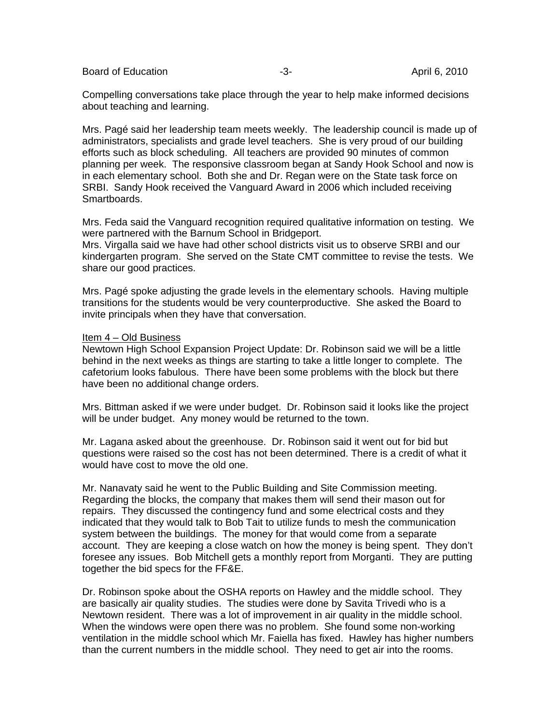Board of Education **-3-** April 6, 2010

Compelling conversations take place through the year to help make informed decisions about teaching and learning.

Mrs. Pagé said her leadership team meets weekly. The leadership council is made up of administrators, specialists and grade level teachers. She is very proud of our building efforts such as block scheduling. All teachers are provided 90 minutes of common planning per week. The responsive classroom began at Sandy Hook School and now is in each elementary school. Both she and Dr. Regan were on the State task force on SRBI. Sandy Hook received the Vanguard Award in 2006 which included receiving Smartboards.

Mrs. Feda said the Vanguard recognition required qualitative information on testing. We were partnered with the Barnum School in Bridgeport.

Mrs. Virgalla said we have had other school districts visit us to observe SRBI and our kindergarten program. She served on the State CMT committee to revise the tests. We share our good practices.

Mrs. Pagé spoke adjusting the grade levels in the elementary schools. Having multiple transitions for the students would be very counterproductive. She asked the Board to invite principals when they have that conversation.

## Item 4 – Old Business

Newtown High School Expansion Project Update: Dr. Robinson said we will be a little behind in the next weeks as things are starting to take a little longer to complete. The cafetorium looks fabulous. There have been some problems with the block but there have been no additional change orders.

Mrs. Bittman asked if we were under budget. Dr. Robinson said it looks like the project will be under budget. Any money would be returned to the town.

Mr. Lagana asked about the greenhouse. Dr. Robinson said it went out for bid but questions were raised so the cost has not been determined. There is a credit of what it would have cost to move the old one.

Mr. Nanavaty said he went to the Public Building and Site Commission meeting. Regarding the blocks, the company that makes them will send their mason out for repairs. They discussed the contingency fund and some electrical costs and they indicated that they would talk to Bob Tait to utilize funds to mesh the communication system between the buildings. The money for that would come from a separate account. They are keeping a close watch on how the money is being spent. They don't foresee any issues. Bob Mitchell gets a monthly report from Morganti. They are putting together the bid specs for the FF&E.

Dr. Robinson spoke about the OSHA reports on Hawley and the middle school. They are basically air quality studies. The studies were done by Savita Trivedi who is a Newtown resident. There was a lot of improvement in air quality in the middle school. When the windows were open there was no problem. She found some non-working ventilation in the middle school which Mr. Faiella has fixed. Hawley has higher numbers than the current numbers in the middle school. They need to get air into the rooms.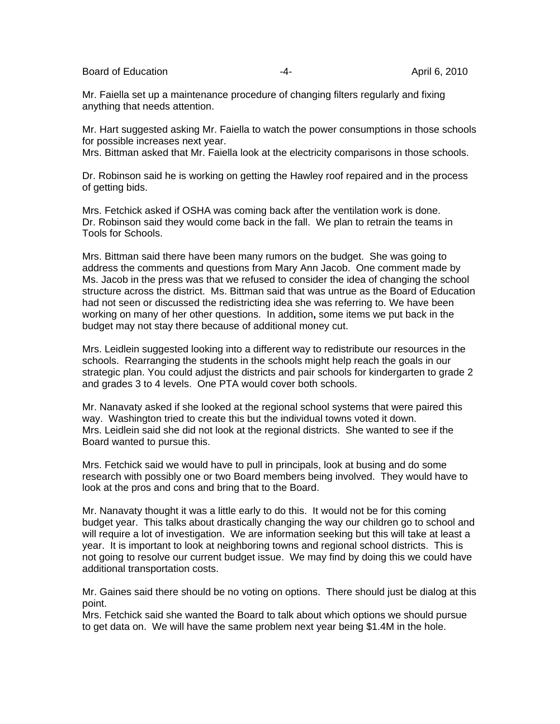Board of Education **-4-** April 6, 2010

Mr. Faiella set up a maintenance procedure of changing filters regularly and fixing anything that needs attention.

Mr. Hart suggested asking Mr. Faiella to watch the power consumptions in those schools for possible increases next year.

Mrs. Bittman asked that Mr. Faiella look at the electricity comparisons in those schools.

Dr. Robinson said he is working on getting the Hawley roof repaired and in the process of getting bids.

Mrs. Fetchick asked if OSHA was coming back after the ventilation work is done. Dr. Robinson said they would come back in the fall. We plan to retrain the teams in Tools for Schools.

Mrs. Bittman said there have been many rumors on the budget. She was going to address the comments and questions from Mary Ann Jacob. One comment made by Ms. Jacob in the press was that we refused to consider the idea of changing the school structure across the district. Ms. Bittman said that was untrue as the Board of Education had not seen or discussed the redistricting idea she was referring to. We have been working on many of her other questions. In addition**,** some items we put back in the budget may not stay there because of additional money cut.

Mrs. Leidlein suggested looking into a different way to redistribute our resources in the schools. Rearranging the students in the schools might help reach the goals in our strategic plan. You could adjust the districts and pair schools for kindergarten to grade 2 and grades 3 to 4 levels. One PTA would cover both schools.

Mr. Nanavaty asked if she looked at the regional school systems that were paired this way. Washington tried to create this but the individual towns voted it down. Mrs. Leidlein said she did not look at the regional districts. She wanted to see if the Board wanted to pursue this.

Mrs. Fetchick said we would have to pull in principals, look at busing and do some research with possibly one or two Board members being involved. They would have to look at the pros and cons and bring that to the Board.

Mr. Nanavaty thought it was a little early to do this. It would not be for this coming budget year. This talks about drastically changing the way our children go to school and will require a lot of investigation. We are information seeking but this will take at least a year. It is important to look at neighboring towns and regional school districts. This is not going to resolve our current budget issue. We may find by doing this we could have additional transportation costs.

Mr. Gaines said there should be no voting on options. There should just be dialog at this point.

Mrs. Fetchick said she wanted the Board to talk about which options we should pursue to get data on. We will have the same problem next year being \$1.4M in the hole.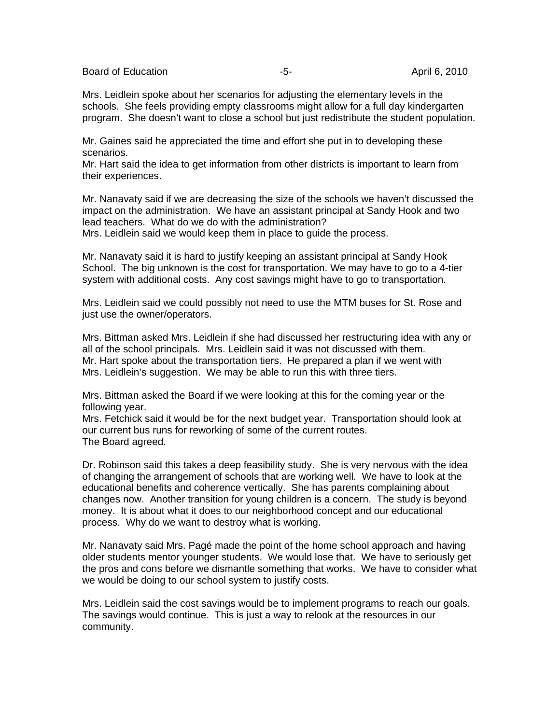Board of Education **-5-** April 6, 2010

Mrs. Leidlein spoke about her scenarios for adjusting the elementary levels in the schools. She feels providing empty classrooms might allow for a full day kindergarten program. She doesn't want to close a school but just redistribute the student population.

Mr. Gaines said he appreciated the time and effort she put in to developing these scenarios.

Mr. Hart said the idea to get information from other districts is important to learn from their experiences.

Mr. Nanavaty said if we are decreasing the size of the schools we haven't discussed the impact on the administration. We have an assistant principal at Sandy Hook and two lead teachers. What do we do with the administration?

Mrs. Leidlein said we would keep them in place to guide the process.

Mr. Nanavaty said it is hard to justify keeping an assistant principal at Sandy Hook School. The big unknown is the cost for transportation. We may have to go to a 4-tier system with additional costs. Any cost savings might have to go to transportation.

Mrs. Leidlein said we could possibly not need to use the MTM buses for St. Rose and just use the owner/operators.

Mrs. Bittman asked Mrs. Leidlein if she had discussed her restructuring idea with any or all of the school principals. Mrs. Leidlein said it was not discussed with them. Mr. Hart spoke about the transportation tiers. He prepared a plan if we went with Mrs. Leidlein's suggestion. We may be able to run this with three tiers.

Mrs. Bittman asked the Board if we were looking at this for the coming year or the following year.

Mrs. Fetchick said it would be for the next budget year. Transportation should look at our current bus runs for reworking of some of the current routes. The Board agreed.

Dr. Robinson said this takes a deep feasibility study. She is very nervous with the idea of changing the arrangement of schools that are working well. We have to look at the educational benefits and coherence vertically. She has parents complaining about changes now. Another transition for young children is a concern. The study is beyond money. It is about what it does to our neighborhood concept and our educational process. Why do we want to destroy what is working.

Mr. Nanavaty said Mrs. Pagé made the point of the home school approach and having older students mentor younger students. We would lose that. We have to seriously get the pros and cons before we dismantle something that works. We have to consider what we would be doing to our school system to justify costs.

Mrs. Leidlein said the cost savings would be to implement programs to reach our goals. The savings would continue. This is just a way to relook at the resources in our community.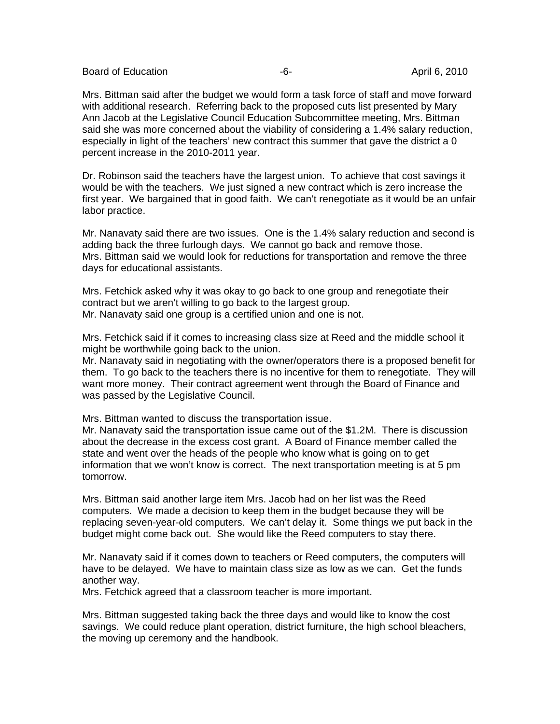Board of Education **-6-** April 6, 2010

Mrs. Bittman said after the budget we would form a task force of staff and move forward with additional research. Referring back to the proposed cuts list presented by Mary Ann Jacob at the Legislative Council Education Subcommittee meeting, Mrs. Bittman said she was more concerned about the viability of considering a 1.4% salary reduction, especially in light of the teachers' new contract this summer that gave the district a 0 percent increase in the 2010-2011 year.

Dr. Robinson said the teachers have the largest union. To achieve that cost savings it would be with the teachers. We just signed a new contract which is zero increase the first year. We bargained that in good faith. We can't renegotiate as it would be an unfair labor practice.

Mr. Nanavaty said there are two issues. One is the 1.4% salary reduction and second is adding back the three furlough days. We cannot go back and remove those. Mrs. Bittman said we would look for reductions for transportation and remove the three days for educational assistants.

Mrs. Fetchick asked why it was okay to go back to one group and renegotiate their contract but we aren't willing to go back to the largest group. Mr. Nanavaty said one group is a certified union and one is not.

Mrs. Fetchick said if it comes to increasing class size at Reed and the middle school it might be worthwhile going back to the union.

Mr. Nanavaty said in negotiating with the owner/operators there is a proposed benefit for them. To go back to the teachers there is no incentive for them to renegotiate. They will want more money. Their contract agreement went through the Board of Finance and was passed by the Legislative Council.

Mrs. Bittman wanted to discuss the transportation issue.

Mr. Nanavaty said the transportation issue came out of the \$1.2M. There is discussion about the decrease in the excess cost grant. A Board of Finance member called the state and went over the heads of the people who know what is going on to get information that we won't know is correct. The next transportation meeting is at 5 pm tomorrow.

Mrs. Bittman said another large item Mrs. Jacob had on her list was the Reed computers. We made a decision to keep them in the budget because they will be replacing seven-year-old computers. We can't delay it. Some things we put back in the budget might come back out. She would like the Reed computers to stay there.

Mr. Nanavaty said if it comes down to teachers or Reed computers, the computers will have to be delayed. We have to maintain class size as low as we can. Get the funds another way.

Mrs. Fetchick agreed that a classroom teacher is more important.

Mrs. Bittman suggested taking back the three days and would like to know the cost savings. We could reduce plant operation, district furniture, the high school bleachers, the moving up ceremony and the handbook.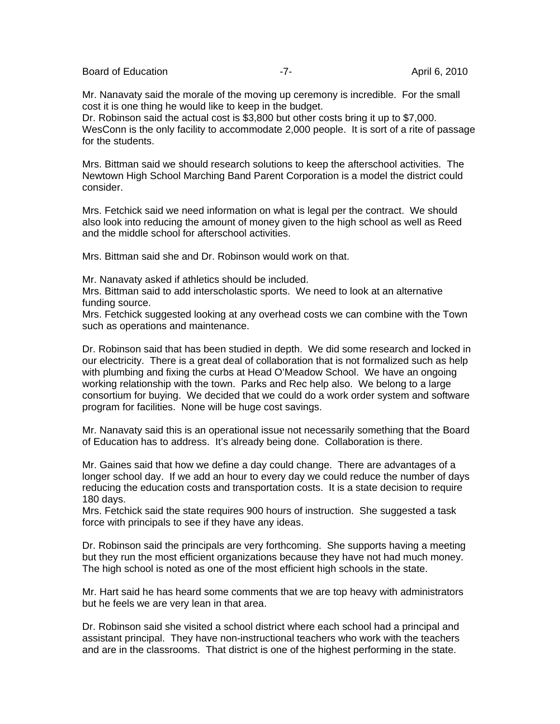Board of Education **April 6, 2010 -7-** April 6, 2010

Mr. Nanavaty said the morale of the moving up ceremony is incredible. For the small cost it is one thing he would like to keep in the budget.

Dr. Robinson said the actual cost is \$3,800 but other costs bring it up to \$7,000. WesConn is the only facility to accommodate 2,000 people. It is sort of a rite of passage for the students.

Mrs. Bittman said we should research solutions to keep the afterschool activities. The Newtown High School Marching Band Parent Corporation is a model the district could consider.

Mrs. Fetchick said we need information on what is legal per the contract. We should also look into reducing the amount of money given to the high school as well as Reed and the middle school for afterschool activities.

Mrs. Bittman said she and Dr. Robinson would work on that.

Mr. Nanavaty asked if athletics should be included.

Mrs. Bittman said to add interscholastic sports. We need to look at an alternative funding source.

Mrs. Fetchick suggested looking at any overhead costs we can combine with the Town such as operations and maintenance.

Dr. Robinson said that has been studied in depth. We did some research and locked in our electricity. There is a great deal of collaboration that is not formalized such as help with plumbing and fixing the curbs at Head O'Meadow School. We have an ongoing working relationship with the town. Parks and Rec help also. We belong to a large consortium for buying. We decided that we could do a work order system and software program for facilities. None will be huge cost savings.

Mr. Nanavaty said this is an operational issue not necessarily something that the Board of Education has to address. It's already being done. Collaboration is there.

Mr. Gaines said that how we define a day could change. There are advantages of a longer school day. If we add an hour to every day we could reduce the number of days reducing the education costs and transportation costs. It is a state decision to require 180 days.

Mrs. Fetchick said the state requires 900 hours of instruction. She suggested a task force with principals to see if they have any ideas.

Dr. Robinson said the principals are very forthcoming. She supports having a meeting but they run the most efficient organizations because they have not had much money. The high school is noted as one of the most efficient high schools in the state.

Mr. Hart said he has heard some comments that we are top heavy with administrators but he feels we are very lean in that area.

Dr. Robinson said she visited a school district where each school had a principal and assistant principal. They have non-instructional teachers who work with the teachers and are in the classrooms. That district is one of the highest performing in the state.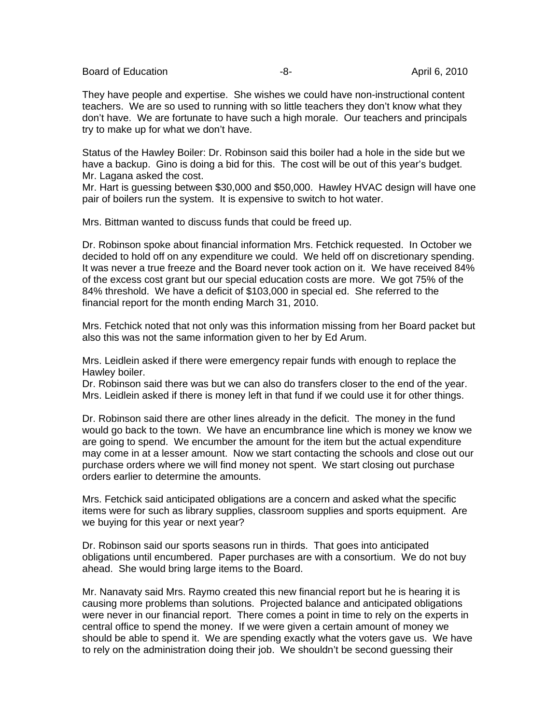Board of Education **-8-** April 6, 2010

They have people and expertise. She wishes we could have non-instructional content teachers. We are so used to running with so little teachers they don't know what they don't have. We are fortunate to have such a high morale. Our teachers and principals try to make up for what we don't have.

Status of the Hawley Boiler: Dr. Robinson said this boiler had a hole in the side but we have a backup. Gino is doing a bid for this. The cost will be out of this year's budget. Mr. Lagana asked the cost.

Mr. Hart is guessing between \$30,000 and \$50,000. Hawley HVAC design will have one pair of boilers run the system. It is expensive to switch to hot water.

Mrs. Bittman wanted to discuss funds that could be freed up.

Dr. Robinson spoke about financial information Mrs. Fetchick requested. In October we decided to hold off on any expenditure we could. We held off on discretionary spending. It was never a true freeze and the Board never took action on it. We have received 84% of the excess cost grant but our special education costs are more. We got 75% of the 84% threshold. We have a deficit of \$103,000 in special ed. She referred to the financial report for the month ending March 31, 2010.

Mrs. Fetchick noted that not only was this information missing from her Board packet but also this was not the same information given to her by Ed Arum.

Mrs. Leidlein asked if there were emergency repair funds with enough to replace the Hawley boiler.

Dr. Robinson said there was but we can also do transfers closer to the end of the year. Mrs. Leidlein asked if there is money left in that fund if we could use it for other things.

Dr. Robinson said there are other lines already in the deficit. The money in the fund would go back to the town. We have an encumbrance line which is money we know we are going to spend. We encumber the amount for the item but the actual expenditure may come in at a lesser amount. Now we start contacting the schools and close out our purchase orders where we will find money not spent. We start closing out purchase orders earlier to determine the amounts.

Mrs. Fetchick said anticipated obligations are a concern and asked what the specific items were for such as library supplies, classroom supplies and sports equipment. Are we buying for this year or next year?

Dr. Robinson said our sports seasons run in thirds. That goes into anticipated obligations until encumbered. Paper purchases are with a consortium. We do not buy ahead. She would bring large items to the Board.

Mr. Nanavaty said Mrs. Raymo created this new financial report but he is hearing it is causing more problems than solutions. Projected balance and anticipated obligations were never in our financial report. There comes a point in time to rely on the experts in central office to spend the money. If we were given a certain amount of money we should be able to spend it. We are spending exactly what the voters gave us. We have to rely on the administration doing their job. We shouldn't be second guessing their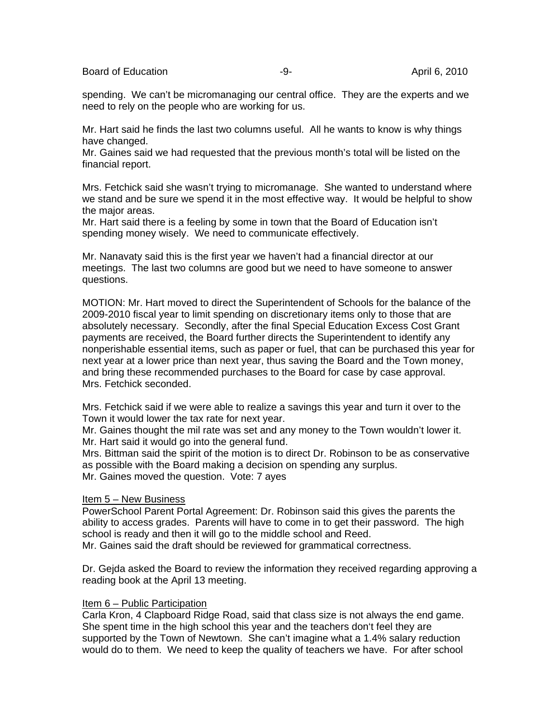Board of Education **-9-** April 6, 2010

spending. We can't be micromanaging our central office. They are the experts and we need to rely on the people who are working for us.

Mr. Hart said he finds the last two columns useful. All he wants to know is why things have changed.

Mr. Gaines said we had requested that the previous month's total will be listed on the financial report.

Mrs. Fetchick said she wasn't trying to micromanage. She wanted to understand where we stand and be sure we spend it in the most effective way. It would be helpful to show the major areas.

Mr. Hart said there is a feeling by some in town that the Board of Education isn't spending money wisely. We need to communicate effectively.

Mr. Nanavaty said this is the first year we haven't had a financial director at our meetings. The last two columns are good but we need to have someone to answer questions.

MOTION: Mr. Hart moved to direct the Superintendent of Schools for the balance of the 2009-2010 fiscal year to limit spending on discretionary items only to those that are absolutely necessary. Secondly, after the final Special Education Excess Cost Grant payments are received, the Board further directs the Superintendent to identify any nonperishable essential items, such as paper or fuel, that can be purchased this year for next year at a lower price than next year, thus saving the Board and the Town money, and bring these recommended purchases to the Board for case by case approval. Mrs. Fetchick seconded.

Mrs. Fetchick said if we were able to realize a savings this year and turn it over to the Town it would lower the tax rate for next year.

Mr. Gaines thought the mil rate was set and any money to the Town wouldn't lower it. Mr. Hart said it would go into the general fund.

Mrs. Bittman said the spirit of the motion is to direct Dr. Robinson to be as conservative as possible with the Board making a decision on spending any surplus. Mr. Gaines moved the question. Vote: 7 ayes

### Item 5 – New Business

PowerSchool Parent Portal Agreement: Dr. Robinson said this gives the parents the ability to access grades. Parents will have to come in to get their password. The high school is ready and then it will go to the middle school and Reed. Mr. Gaines said the draft should be reviewed for grammatical correctness.

Dr. Gejda asked the Board to review the information they received regarding approving a reading book at the April 13 meeting.

### Item 6 – Public Participation

Carla Kron, 4 Clapboard Ridge Road, said that class size is not always the end game. She spent time in the high school this year and the teachers don't feel they are supported by the Town of Newtown. She can't imagine what a 1.4% salary reduction would do to them. We need to keep the quality of teachers we have. For after school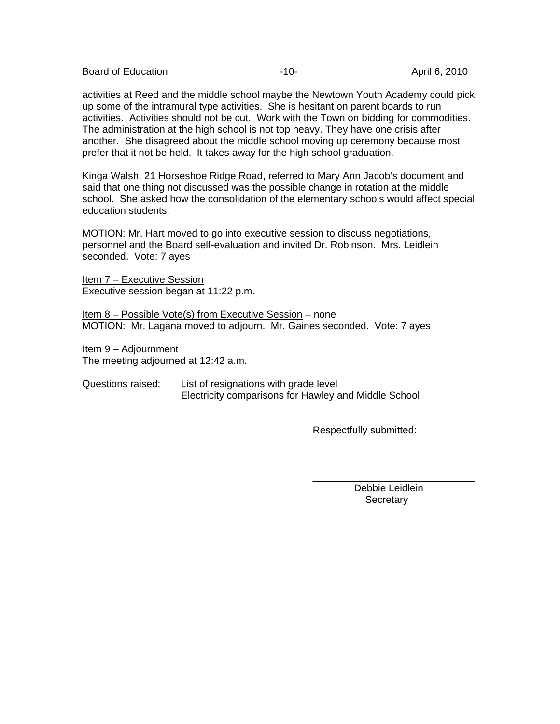Board of Education **-10-** April 6, 2010

activities at Reed and the middle school maybe the Newtown Youth Academy could pick up some of the intramural type activities. She is hesitant on parent boards to run activities. Activities should not be cut. Work with the Town on bidding for commodities. The administration at the high school is not top heavy. They have one crisis after another. She disagreed about the middle school moving up ceremony because most prefer that it not be held. It takes away for the high school graduation.

Kinga Walsh, 21 Horseshoe Ridge Road, referred to Mary Ann Jacob's document and said that one thing not discussed was the possible change in rotation at the middle school. She asked how the consolidation of the elementary schools would affect special education students.

MOTION: Mr. Hart moved to go into executive session to discuss negotiations, personnel and the Board self-evaluation and invited Dr. Robinson. Mrs. Leidlein seconded. Vote: 7 ayes

Item 7 – Executive Session Executive session began at 11:22 p.m.

Item 8 – Possible Vote(s) from Executive Session – none MOTION: Mr. Lagana moved to adjourn. Mr. Gaines seconded. Vote: 7 ayes

Item 9 – Adjournment The meeting adjourned at 12:42 a.m.

Questions raised: List of resignations with grade level Electricity comparisons for Hawley and Middle School

 $\overline{\phantom{a}}$  , and the contract of the contract of the contract of the contract of the contract of the contract of the contract of the contract of the contract of the contract of the contract of the contract of the contrac

Respectfully submitted:

 Debbie Leidlein **Secretary**